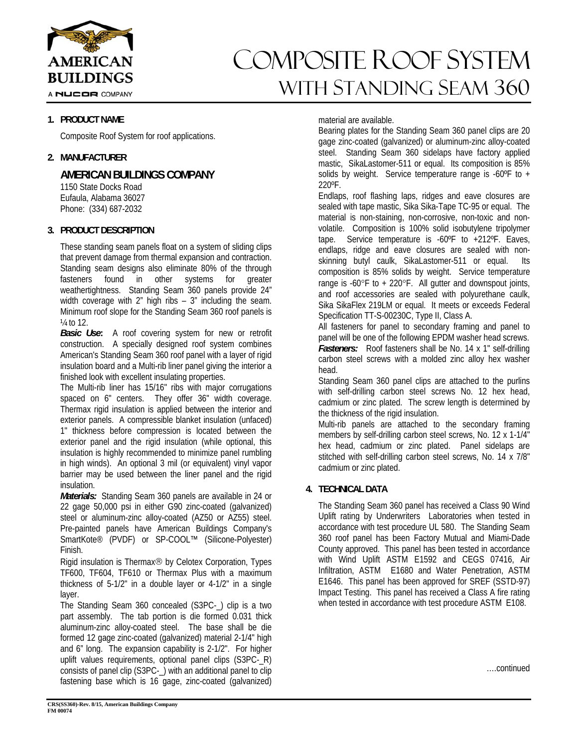

A NUCOR COMPANY

#### **1. PRODUCT NAME**

Composite Roof System for roof applications.

#### **2. MANUFACTURER**

**AMERICAN BUILDINGS COMPANY** 

 1150 State Docks Road Eufaula, Alabama 36027 Phone: (334) 687-2032

#### **3. PRODUCT DESCRIPTION**

These standing seam panels float on a system of sliding clips that prevent damage from thermal expansion and contraction. Standing seam designs also eliminate 80% of the through fasteners found in other systems for greater weathertightness. Standing Seam 360 panels provide 24" width coverage with 2" high ribs – 3" including the seam. Minimum roof slope for the Standing Seam 360 roof panels is  $\frac{1}{4}$  to 12.

*Basic Use***:** A roof covering system for new or retrofit construction. A specially designed roof system combines American's Standing Seam 360 roof panel with a layer of rigid insulation board and a Multi-rib liner panel giving the interior a finished look with excellent insulating properties.

The Multi-rib liner has 15/16" ribs with major corrugations spaced on 6" centers. They offer 36" width coverage. Thermax rigid insulation is applied between the interior and exterior panels. A compressible blanket insulation (unfaced) 1" thickness before compression is located between the exterior panel and the rigid insulation (while optional, this insulation is highly recommended to minimize panel rumbling in high winds). An optional 3 mil (or equivalent) vinyl vapor barrier may be used between the liner panel and the rigid insulation.

*Materials:* Standing Seam 360 panels are available in 24 or 22 gage 50,000 psi in either G90 zinc-coated (galvanized) steel or aluminum-zinc alloy-coated (AZ50 or AZ55) steel. Pre-painted panels have American Buildings Company's SmartKote® (PVDF) or SP-COOL™ (Silicone-Polyester) Finish.

Rigid insulation is Thermax<sup>®</sup> by Celotex Corporation, Types TF600, TF604, TF610 or Thermax Plus with a maximum thickness of 5-1/2" in a double layer or 4-1/2" in a single layer.

The Standing Seam 360 concealed (S3PC-) clip is a two part assembly. The tab portion is die formed 0.031 thick aluminum-zinc alloy-coated steel. The base shall be die formed 12 gage zinc-coated (galvanized) material 2-1/4" high and 6" long. The expansion capability is 2-1/2". For higher uplift values requirements, optional panel clips (S3PC-R) consists of panel clip (S3PC-\_) with an additional panel to clip fastening base which is 16 gage, zinc-coated (galvanized)

# COMPOSITE ROOF SYSTEM WITH STANDING SEAM 360

#### material are available.

Bearing plates for the Standing Seam 360 panel clips are 20 gage zinc-coated (galvanized) or aluminum-zinc alloy-coated steel. Standing Seam 360 sidelaps have factory applied mastic, SikaLastomer-511 or equal. Its composition is 85% solids by weight. Service temperature range is -60ºF to + 220ºF.

Endlaps, roof flashing laps, ridges and eave closures are sealed with tape mastic, Sika Sika-Tape TC-95 or equal. The material is non-staining, non-corrosive, non-toxic and nonvolatile. Composition is 100% solid isobutylene tripolymer tape. Service temperature is -60ºF to +212ºF. Eaves, endlaps, ridge and eave closures are sealed with nonskinning butyl caulk, SikaLastomer-511 or equal. Its composition is 85% solids by weight. Service temperature range is  $-60^{\circ}$ F to  $+220^{\circ}$ F. All gutter and downspout joints, and roof accessories are sealed with polyurethane caulk, Sika SikaFlex 219LM or equal. It meets or exceeds Federal Specification TT-S-00230C, Type II, Class A.

All fasteners for panel to secondary framing and panel to panel will be one of the following EPDM washer head screws. *Fasteners:* Roof fasteners shall be No. 14 x 1" self-drilling carbon steel screws with a molded zinc alloy hex washer head.

Standing Seam 360 panel clips are attached to the purlins with self-drilling carbon steel screws No. 12 hex head, cadmium or zinc plated. The screw length is determined by the thickness of the rigid insulation.

Multi-rib panels are attached to the secondary framing members by self-drilling carbon steel screws, No. 12 x 1-1/4" hex head, cadmium or zinc plated. Panel sidelaps are stitched with self-drilling carbon steel screws, No. 14 x 7/8" cadmium or zinc plated.

### **4. TECHNICAL DATA**

The Standing Seam 360 panel has received a Class 90 Wind Uplift rating by Underwriters Laboratories when tested in accordance with test procedure UL 580. The Standing Seam 360 roof panel has been Factory Mutual and Miami-Dade County approved. This panel has been tested in accordance with Wind Uplift ASTM E1592 and CEGS 07416, Air Infiltration, ASTM E1680 and Water Penetration, ASTM E1646. This panel has been approved for SREF (SSTD-97) Impact Testing. This panel has received a Class A fire rating when tested in accordance with test procedure ASTM E108.

….continued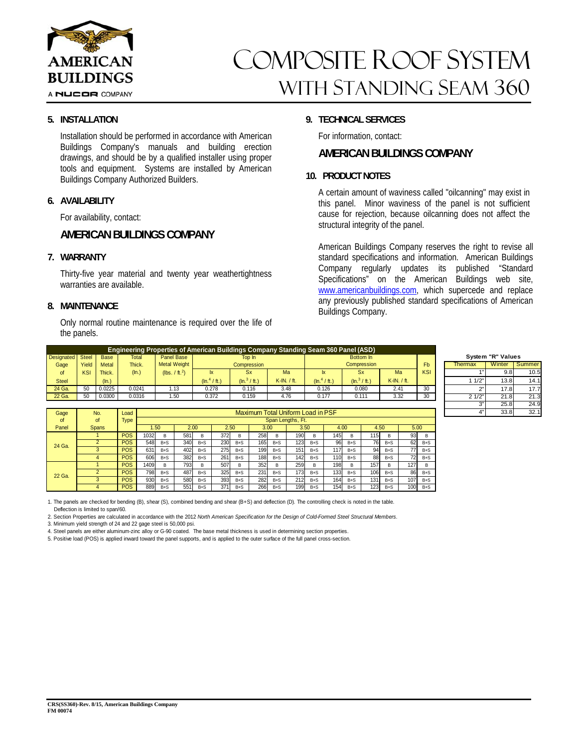

#### A NUCOR COMPANY

# COMPOSITE ROOF SYSTEM WITH STANDING SEAM 360

#### **5. INSTALLATION**

Installation should be performed in accordance with American Buildings Company's manuals and building erection drawings, and should be by a qualified installer using proper tools and equipment. Systems are installed by American Buildings Company Authorized Builders.

#### **6. AVAILABILITY**

For availability, contact:

## **AMERICAN BUILDINGS COMPANY**

#### **7. WARRANTY**

Thirty-five year material and twenty year weathertightness warranties are available.

#### **8. MAINTENANCE**

Only normal routine maintenance is required over the life of the panels.

### **9. TECHNICAL SERVICES**

For information, contact:

### **AMERICAN BUILDINGS COMPANY**

#### **10. PRODUCT NOTES**

A certain amount of waviness called "oilcanning" may exist in this panel. Minor waviness of the panel is not sufficient cause for rejection, because oilcanning does not affect the structural integrity of the panel.

American Buildings Company reserves the right to revise all standard specifications and information. American Buildings Company regularly updates its published "Standard Specifications" on the American Buildings web site, www.americanbuildings.com, which supercede and replace any previously published standard specifications of American Buildings Company.

> nter  $9.8$  10.5

1 1/2" 13.8 14.1  $17.8$  17.  $2\frac{1}{2}\begin{bmatrix} 21.8 & 21.3 \end{bmatrix}$  21.3  $25.8$  24.  $33.8$ 

|                  | <b>Engineering Properties of American Buildings Company Standing Seam 360 Panel (ASD)</b> |        |              |                            |                   |                        |             |                         |                        |                  |                |                |                   |     |
|------------------|-------------------------------------------------------------------------------------------|--------|--------------|----------------------------|-------------------|------------------------|-------------|-------------------------|------------------------|------------------|----------------|----------------|-------------------|-----|
| Designated Steel |                                                                                           | Base   | <b>Total</b> | Panel Base                 |                   | Top In                 |             |                         | Bottom In              |                  |                |                | System "R" Values |     |
| Gage             | Yield                                                                                     | Metal  | Thick.       | <b>Metal Weight</b>        |                   | Compression            |             |                         | Compression            |                  | F <sub>b</sub> | <b>Thermax</b> | Winter            | l S |
| 0t               | KSI                                                                                       | Thick. | (In.)        | (lbs. / ft. <sup>2</sup> ) | Ix.               | <b>Sx</b>              | Ma          |                         | <b>Sx</b>              | Ma               | KSI            |                | 9.81              |     |
| <b>Steel</b>     |                                                                                           | (ln.)  |              |                            | $(\ln ^{4}/$ ft.) | $(\ln^3 / \text{ft.})$ | K-IN. / ft. | $(\ln ^{4}/\text{ft.})$ | $(\ln^3 / \text{ft.})$ | $K$ -IN. $/$ ft. |                | 1/2"           | 13.8              |     |
| 24 Ga.           | 50                                                                                        | 0.0225 | 0.0241       | . 13                       | 0.278             | 0.116                  | 3.48        | 0.126                   | 0.080                  | 2.41             | 30             |                | 17.8              |     |
| 22 Ga.           | 50                                                                                        | 0.0300 | 0.0316       | .50                        | 0.372             | 0.159                  | 4.76        | 0.177                   | 0.111                  | 3.32             | 30             | 21/2"          | 21.8              |     |

| Gage   | No.          | Load        | Maximum Total Uniform Load in PSF |         |     |         |     |         |     |         |      |         |     |         |      |         |      |         |  |  |  |
|--------|--------------|-------------|-----------------------------------|---------|-----|---------|-----|---------|-----|---------|------|---------|-----|---------|------|---------|------|---------|--|--|--|
| of     | of           | <b>Type</b> | Span Lengths, Ft.                 |         |     |         |     |         |     |         |      |         |     |         |      |         |      |         |  |  |  |
| Panel  | <b>Spans</b> |             | .50                               |         |     | 2.00    |     | 2.50    |     | 3.00    |      | 3.50    |     | 4.00    |      | 4.50    |      | 5.00    |  |  |  |
| 24 Ga. |              | <b>POS</b>  | 1032                              | в       | 581 | B       | 372 | B       | 258 | B       | 190  | в       | 145 | B       | 115  | в       | 93   | B       |  |  |  |
|        |              | <b>POS</b>  | 548                               | $B + S$ | 340 | $B + S$ | 230 | $B + S$ | 165 | $B + S$ | 1231 | $B + S$ | 96  | $B + S$ | 76   | $B + S$ | 62   | $B + S$ |  |  |  |
|        |              | <b>POS</b>  | 631                               | $B + S$ | 402 | $B + S$ | 275 | $B + S$ | 199 | $B + S$ | 151  | $B + S$ | 117 | $B + S$ | 94   | $B + S$ | 77   | $B + S$ |  |  |  |
|        |              | <b>POS</b>  | 606                               | $B + S$ | 382 | $B + S$ | 261 | $B + S$ | 188 | $B + S$ | 142  | $B + S$ | 110 | $B + S$ | 88   | $B + S$ | 72   | $B + S$ |  |  |  |
| 22 Ga. |              | <b>POS</b>  | 1409                              | в       | 793 | B       | 507 | в       | 352 | B.      | 259  | в       | 198 | B       | 157  | в       | 1271 | B       |  |  |  |
|        |              | <b>POS</b>  | 798                               | $B + S$ | 487 | $B + S$ | 325 | $B + S$ | 231 | $B + S$ | 1731 | $B + S$ | 133 | $B + S$ | 106  | $B + S$ | 86   | $B + S$ |  |  |  |
|        |              | <b>POS</b>  | 930                               | $B + S$ | 580 | $B + S$ | 393 | $B + S$ | 282 | $B + S$ | 212  | $B + S$ | 164 | $B + S$ | 131  | $B + S$ | 107  | $B + S$ |  |  |  |
|        |              | <b>POS</b>  | 889                               | $B + S$ | 551 | $B + S$ | 371 | $B + S$ | 266 | $B + S$ | 199  | $B + S$ | 154 | $B + S$ | 1231 | $B + S$ | 100  | $B + S$ |  |  |  |

1. The panels are checked for bending (B), shear (S), combined bending and shear (B+S) and deflection (D). The controlling check is noted in the table. Deflection is limited to span/60.

2. Section Properties are calculated in accordance with the 2012 *North American Specification for the Design of Cold-Formed Steel Structural Members.*

3. Minimum yield strength of 24 and 22 gage steel is 50,000 psi.

4. Steel panels are either aluminum-zinc alloy or G-90 coated. The base metal thickness is used in determining section properties.

5. Positive load (POS) is applied inward toward the panel supports, and is applied to the outer surface of the full panel cross-section.